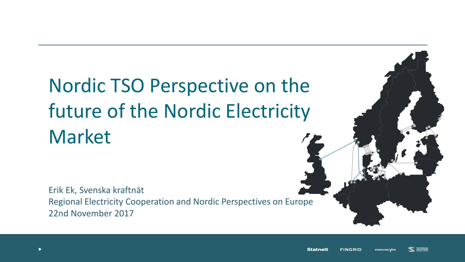## Nordic TSO Perspective on the future of the Nordic Electricity Market

Erik Ek, Svenska kraftnät Regional Electricity Cooperation and Nordic Perspectives on Europe 22nd November 2017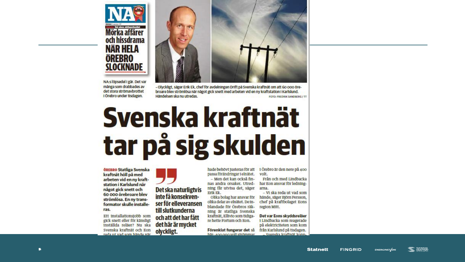





- Olyckligt, säger Erik Ek, chef för avdelningen Drift på Svenska kraftnät om att 60 000 örebroare blev strömlösa när något gick snett med arbeten vid en ny kraftstation i Karlslund. Händelsen ska nu utredas. FOTO: FREDRIK SANDBERG / TT

- Men det kan också fin-

nas andra orsaker, Utred-

ning får utvisa det, säger

Olika bolag har ansvar för

olika delar av elnätet. De in-

blandade för Örebros räk-

ning är statliga Svenska

kraftnät, Ellivio som tidiga-

Förenklat fungerar det så

här- son ogo volt strömmar

re hette Fortum och Eon.

Erik Ek.

# Svenska kraftnät tar på sig skulden

**ÖREBRO Statliga Svenska** kraftnät höll på med arbeten vid en ny kraftstation i Karlslund när något gick snett och 60 000 örebroare blev strömlösa. En ny transformator skulle installeras.

Ett installationsjobb som gick snett eller för känsligt inställda reläer? Nu ska Svenska kraftnät och Eon roda ut vad som händo när

Det ska naturligtvis inte få konsekvenser för elleveransen till slutkunderna och att det har fått det här är mycket olyckligt.

hade behövt tusteras för att 1 Örebro är den nere på 400 passa förändringar i elnätet. volt.

> Från och med Lindbacka har Eon ansvar för ledningarna.

> - Vi ska reda ut vad som hände, säger Björn Persson, chef på kraftbolaget Eons region Mitt.

> Det var Eons skyddsreläer 1 Lindbacka som reagerade på elektriciteten som kom från Karlslund på tisdagen. Svonska kraftnät konn.

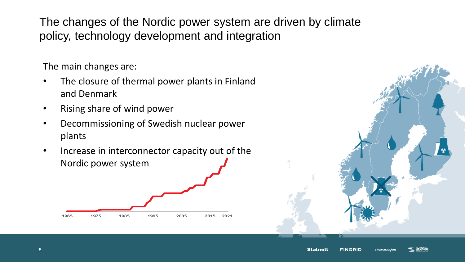The changes of the Nordic power system are driven by climate policy, technology development and integration

The main changes are:

- The closure of thermal power plants in Finland and Denmark
- Rising share of wind power
- Decommissioning of Swedish nuclear power plants
- Increase in interconnector capacity out of the Nordic power system



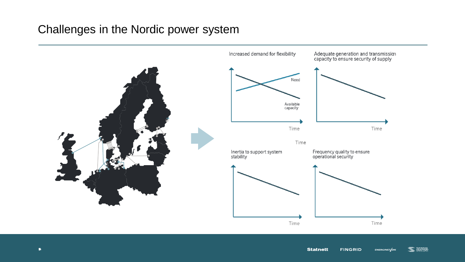## Challenges in the Nordic power system

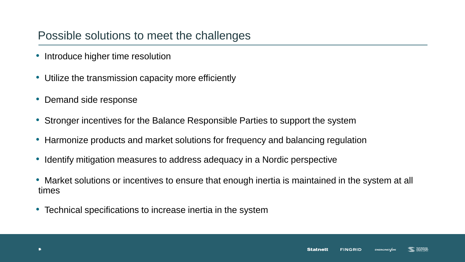## Possible solutions to meet the challenges

- Introduce higher time resolution
- Utilize the transmission capacity more efficiently
- Demand side response
- Stronger incentives for the Balance Responsible Parties to support the system
- Harmonize products and market solutions for frequency and balancing regulation
- Identify mitigation measures to address adequacy in a Nordic perspective
- Market solutions or incentives to ensure that enough inertia is maintained in the system at all times
- Technical specifications to increase inertia in the system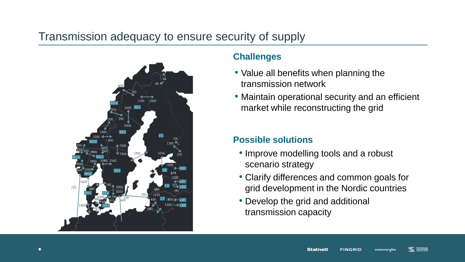## Transmission adequacy to ensure security of supply



#### **Challenges**

- Value all benefits when planning the transmission network
- Maintain operational security and an efficient market while reconstructing the grid

### **Possible solutions**

- Improve modelling tools and a robust scenario strategy
- Clarify differences and common goals for grid development in the Nordic countries
- Develop the grid and additional transmission capacity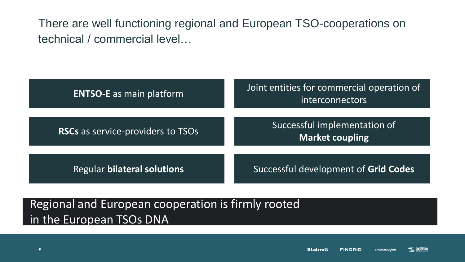There are well functioning regional and European TSO-cooperations on technical / commercial level…

| <b>ENTSO-E</b> as main platform    | Joint entities for commercial operation of<br>interconnectors |  |
|------------------------------------|---------------------------------------------------------------|--|
| RSCs as service-providers to TSOs  | Successful implementation of<br><b>Market coupling</b>        |  |
| <b>Regular bilateral solutions</b> | Successful development of Grid Codes                          |  |

## Regional and European cooperation is firmly rooted in the European TSOs DNA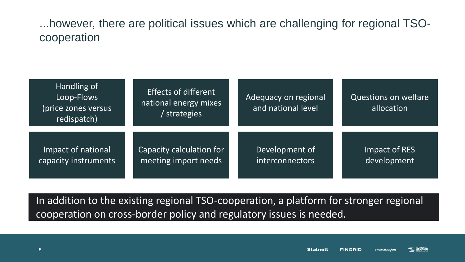...however, there are political issues which are challenging for regional TSOcooperation

| Handling of<br>Loop-Flows<br>(price zones versus<br>redispatch) | <b>Effects of different</b><br>national energy mixes<br>' strategies | Adequacy on regional<br>and national level | Questions on welfare<br>allocation |
|-----------------------------------------------------------------|----------------------------------------------------------------------|--------------------------------------------|------------------------------------|
| Impact of national                                              | Capacity calculation for                                             | Development of                             | Impact of RES                      |
| capacity instruments                                            | meeting import needs                                                 | interconnectors                            | development                        |

In addition to the existing regional TSO-cooperation, a platform for stronger regional cooperation on cross-border policy and regulatory issues is needed.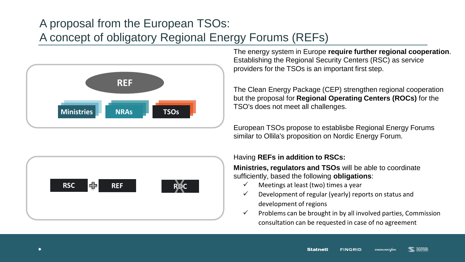## A proposal from the European TSOs: A concept of obligatory Regional Energy Forums (REFs)



The energy system in Europe **require further regional cooperation**. Establishing the Regional Security Centers (RSC) as service providers for the TSOs is an important first step.

The Clean Energy Package (CEP) strengthen regional cooperation but the proposal for **Regional Operating Centers (ROCs)** for the TSO's does not meet all challenges.

European TSOs propose to establisbe Regional Energy Forums similar to Ollila's proposition on Nordic Energy Forum.



#### Having **REFs in addition to RSCs:**

**Ministries, regulators and TSOs** will be able to coordinate sufficiently, based the following **obligations**:

- $\checkmark$  Meetings at least (two) times a year
- $\checkmark$  Development of regular (yearly) reports on status and development of regions
- $\checkmark$  Problems can be brought in by all involved parties, Commission consultation can be requested in case of no agreement